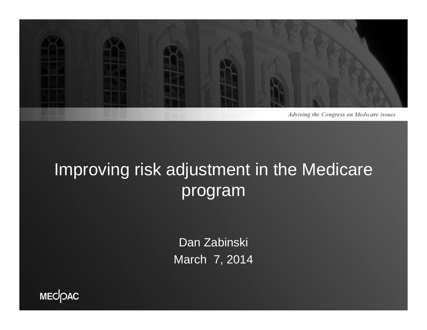

#### Improving risk adjustment in the Medicare program

Dan Zabinski March 7, 2014

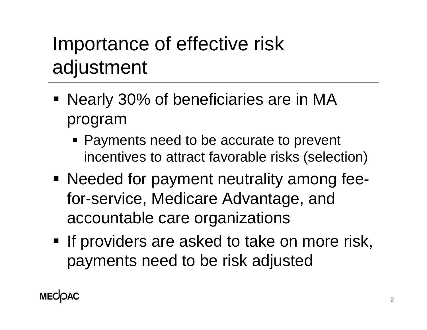# Importance of effective risk adjustment

- **Nearly 30% of beneficiaries are in MA** program
	- **Payments need to be accurate to prevent** incentives to attract favorable risks (selection)
- Needed for payment neutrality among feefor-service, Medicare Advantage, and accountable care organizations
- **If providers are asked to take on more risk,** payments need to be risk adjusted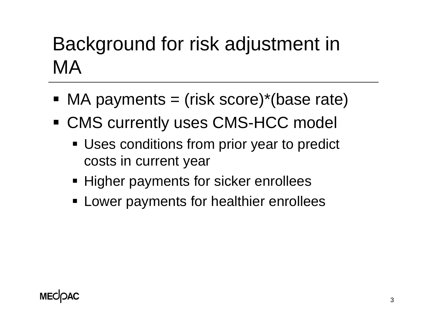## Background for risk adjustment in MA

- MA payments = (risk score)\*(base rate)
- CMS currently uses CMS-HCC model
	- **Uses conditions from prior year to predict** costs in current year
	- **Higher payments for sicker enrollees**
	- **EXA** Lower payments for healthier enrollees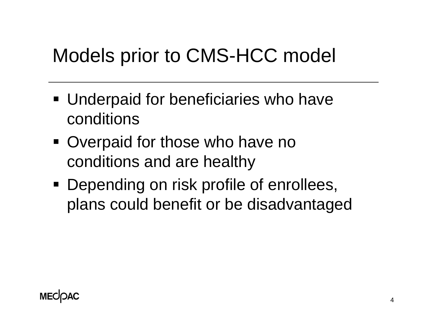## Models prior to CMS-HCC model

- **Underpaid for beneficiaries who have** conditions
- **Overpaid for those who have no** conditions and are healthy
- **Depending on risk profile of enrollees,** plans could benefit or be disadvantaged

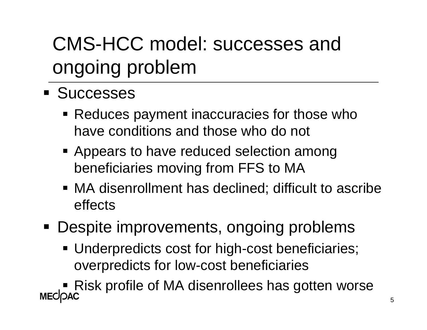# CMS-HCC model: successes and ongoing problem

- **Successes** 
	- Reduces payment inaccuracies for those who have conditions and those who do not
	- **Appears to have reduced selection among** beneficiaries moving from FFS to MA
	- MA disenrollment has declined; difficult to ascribe effects
- Despite improvements, ongoing problems
	- **Underpredicts cost for high-cost beneficiaries;** overpredicts for low-cost beneficiaries

■ Risk profile of MA disenrollees has gotten worse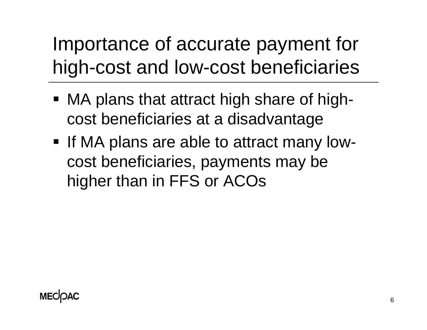Importance of accurate payment for high-cost and low-cost beneficiaries

- MA plans that attract high share of highcost beneficiaries at a disadvantage
- **If MA plans are able to attract many low**cost beneficiaries, payments may be higher than in FFS or ACOs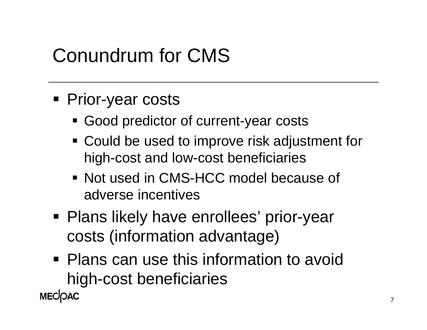## Conundrum for CMS

- **Prior-year costs** 
	- **Good predictor of current-year costs**
	- Could be used to improve risk adjustment for high-cost and low-cost beneficiaries
	- Not used in CMS-HCC model because of adverse incentives
- Plans likely have enrollees' prior-year costs (information advantage)
- **Plans can use this information to avoid** high-cost beneficiaries **MECOAC**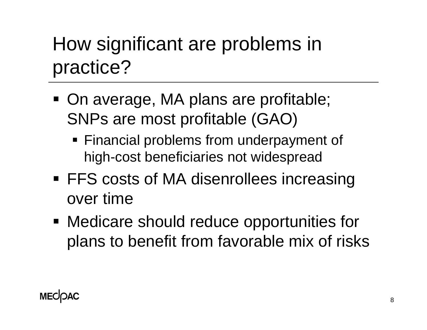# How significant are problems in practice?

- On average, MA plans are profitable; SNPs are most profitable (GAO)
	- Financial problems from underpayment of high-cost beneficiaries not widespread
- **FFS costs of MA disenrollees increasing** over time
- Medicare should reduce opportunities for plans to benefit from favorable mix of risks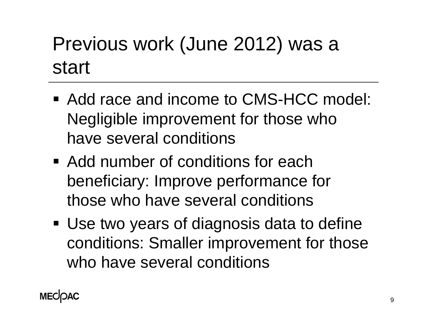# Previous work (June 2012) was a start

- Add race and income to CMS-HCC model: Negligible improvement for those who have several conditions
- **Add number of conditions for each** beneficiary: Improve performance for those who have several conditions
- Use two years of diagnosis data to define conditions: Smaller improvement for those who have several conditions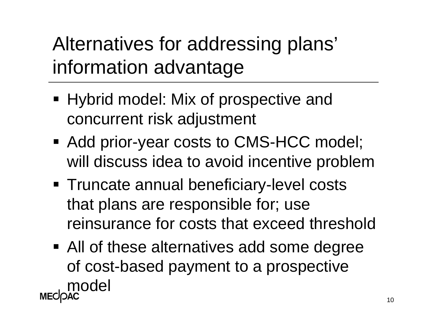Alternatives for addressing plans' information advantage

- Hybrid model: Mix of prospective and concurrent risk adjustment
- Add prior-year costs to CMS-HCC model; will discuss idea to avoid incentive problem
- **Truncate annual beneficiary-level costs** that plans are responsible for; use reinsurance for costs that exceed threshold
- All of these alternatives add some degree of cost-based payment to a prospective model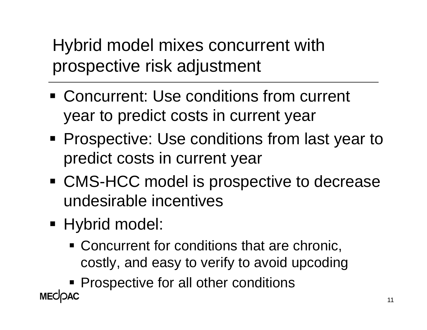Hybrid model mixes concurrent with prospective risk adjustment

- Concurrent: Use conditions from current year to predict costs in current year
- **Prospective: Use conditions from last year to** predict costs in current year
- CMS-HCC model is prospective to decrease undesirable incentives
- Hybrid model:
	- **Concurrent for conditions that are chronic,** costly, and easy to verify to avoid upcoding

**Prospective for all other conditions MECOAC**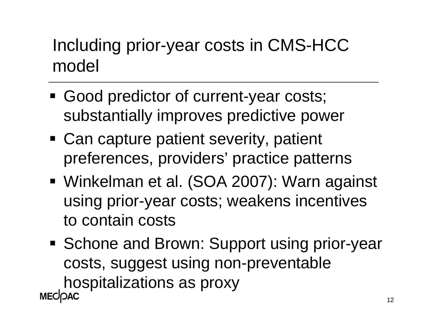#### Including prior-year costs in CMS-HCC model

- Good predictor of current-year costs; substantially improves predictive power
- Can capture patient severity, patient preferences, providers' practice patterns
- Winkelman et al. (SOA 2007): Warn against using prior-year costs; weakens incentives to contain costs
- Schone and Brown: Support using prior-year costs, suggest using non-preventable hospitalizations as proxy**MECOAC**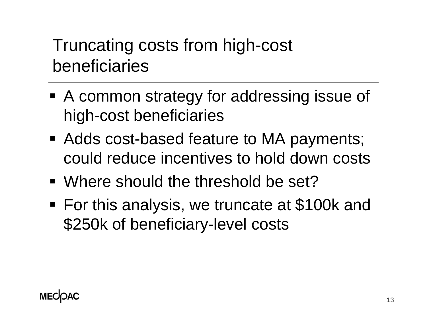Truncating costs from high-cost beneficiaries

- A common strategy for addressing issue of high-cost beneficiaries
- Adds cost-based feature to MA payments; could reduce incentives to hold down costs
- Where should the threshold be set?
- For this analysis, we truncate at \$100k and \$250k of beneficiary-level costs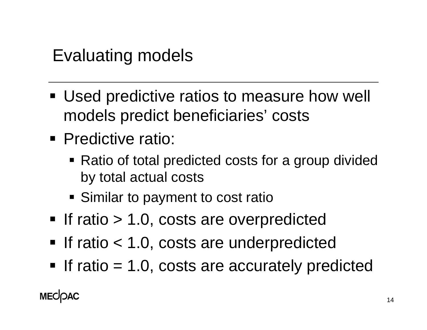Evaluating models

- **Used predictive ratios to measure how well** models predict beneficiaries' costs
- **Predictive ratio:** 
	- Ratio of total predicted costs for a group divided by total actual costs
	- **Similar to payment to cost rationally**
- **If ratio > 1.0, costs are overpredicted**
- If ratio < 1.0, costs are underpredicted
- If ratio  $= 1.0$ , costs are accurately predicted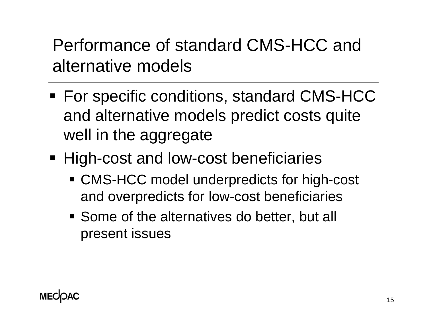Performance of standard CMS-HCC and alternative models

- For specific conditions, standard CMS-HCC and alternative models predict costs quite well in the aggregate
- **High-cost and low-cost beneficiaries** 
	- CMS-HCC model underpredicts for high-cost and overpredicts for low-cost beneficiaries
	- Some of the alternatives do better, but all present issues

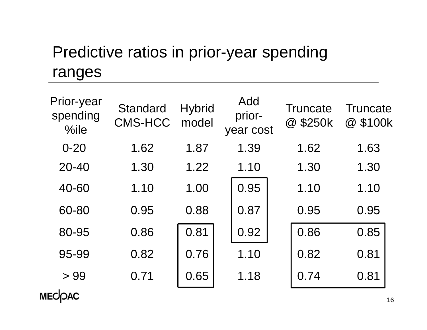#### Predictive ratios in prior-year spending ranges

| Prior-year<br>spending<br>%ile | <b>Standard</b><br><b>CMS-HCC</b> | <b>Hybrid</b><br>model | Add<br>prior-<br>year cost | Truncate<br>@ \$250k | Truncate<br>@ \$100k |
|--------------------------------|-----------------------------------|------------------------|----------------------------|----------------------|----------------------|
| $0 - 20$                       | 1.62                              | 1.87                   | 1.39                       | 1.62                 | 1.63                 |
| $20 - 40$                      | 1.30                              | 1.22                   | 1.10                       | 1.30                 | 1.30                 |
| 40-60                          | 1.10                              | 1.00                   | 0.95                       | 1.10                 | 1.10                 |
| 60-80                          | 0.95                              | 0.88                   | 0.87                       | 0.95                 | 0.95                 |
| 80-95                          | 0.86                              | 0.81                   | 0.92                       | 0.86                 | 0.85                 |
| 95-99                          | 0.82                              | 0.76                   | 1.10                       | 0.82                 | 0.81                 |
| >99                            | 0.71                              | 0.65                   | 1.18                       | 0.74                 | 0.81                 |

MECOAC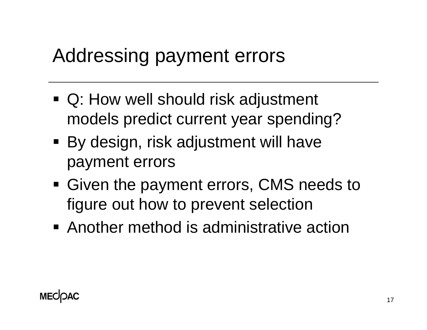#### Addressing payment errors

- Q: How well should risk adjustment models predict current year spending?
- By design, risk adjustment will have payment errors
- Given the payment errors, CMS needs to figure out how to prevent selection
- Another method is administrative action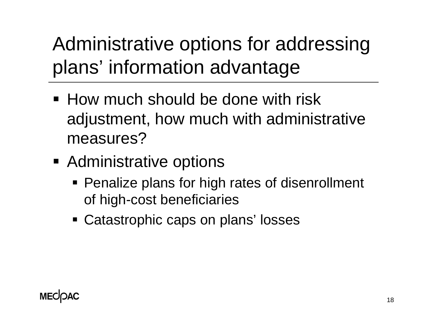Administrative options for addressing plans' information advantage

- **How much should be done with risk** adjustment, how much with administrative measures?
- **Administrative options** 
	- **Penalize plans for high rates of disenrollment** of high-cost beneficiaries
	- **Example Catastrophic caps on plans' losses**